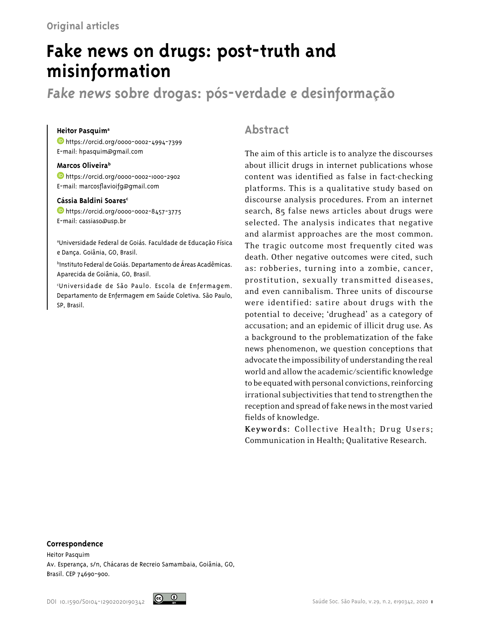# **Fake news on drugs: post-truth and misinformation**

**Fake news sobre drogas: pós-verdade e desinformação**

#### **Heitor Pasquim<sup>a</sup>**

 [h](https://orcid.org/0000-0002-4994-7399)ttps://orcid.org/0000-0002-4994-7399 E-mail: hpasquim@gmail.com

#### **Marcos Oliveirab**

 [h](https://orcid.org/0000-0002-1000-2902)ttps://orcid.org/0000-0002-1000-2902 E-mail: marcosflavioifg@gmail.com

### Cássia Baldini Soares<sup>c</sup>

 [h](https://orcid.org/0000-0002-8457-3775)ttps://orcid.org/0000-0002-8457-3775 E-mail: cassiaso@usp.br

a Universidade Federal de Goiás. Faculdade de Educação Física e Dança. Goiânia, GO, Brasil.

b Instituto Federal de Goiás. Departamento de Áreas Acadêmicas. Aparecida de Goiânia, GO, Brasil.

c Universidade de São Paulo. Escola de Enfermagem. Departamento de Enfermagem em Saúde Coletiva. São Paulo, SP, Brasil.

# **Abstract**

The aim of this article is to analyze the discourses about illicit drugs in internet publications whose content was identified as false in fact-checking platforms. This is a qualitative study based on discourse analysis procedures. From an internet search, 85 false news articles about drugs were selected. The analysis indicates that negative and alarmist approaches are the most common. The tragic outcome most frequently cited was death. Other negative outcomes were cited, such as: robberies, turning into a zombie, cancer, prostitution, sexually transmitted diseases, and even cannibalism. Three units of discourse were identified: satire about drugs with the potential to deceive; 'drughead' as a category of accusation; and an epidemic of illicit drug use. As a background to the problematization of the fake news phenomenon, we question conceptions that advocate the impossibility of understanding the real world and allow the academic/scientific knowledge to be equated with personal convictions, reinforcing irrational subjectivities that tend to strengthen the reception and spread of fake news in the most varied fields of knowledge.

**Keywords:** Collective Health; Drug Users; Communication in Health; Qualitative Research.

#### **Correspondence**

Heitor Pasquim Av. Esperança, s/n, Chácaras de Recreio Samambaia, Goiânia, GO, Brasil. CEP 74690-900.

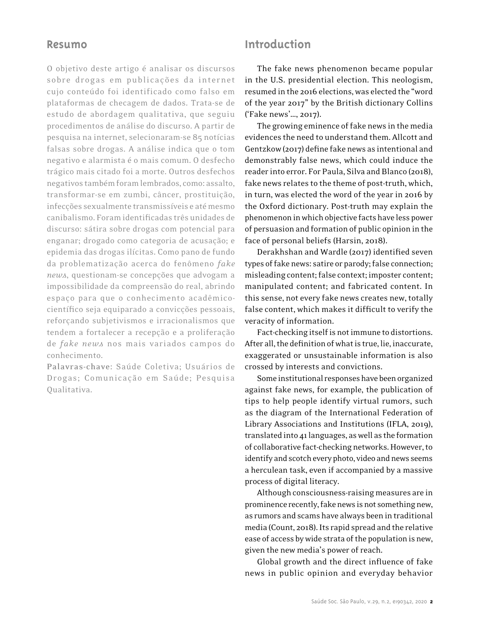## **Resumo**

O objetivo deste artigo é analisar os discursos sobre drogas em publicações da internet cujo conteúdo foi identificado como falso em plataformas de checagem de dados. Trata-se de estudo de abordagem qualitativa, que seguiu procedimentos de análise do discurso. A partir de pesquisa na internet, selecionaram-se 85 notícias falsas sobre drogas. A análise indica que o tom negativo e alarmista é o mais comum. O desfecho trágico mais citado foi a morte. Outros desfechos negativos também foram lembrados, como: assalto, transformar-se em zumbi, câncer, prostituição, infecções sexualmente transmissíveis e até mesmo canibalismo. Foram identificadas três unidades de discurso: sátira sobre drogas com potencial para enganar; drogado como categoria de acusação; e epidemia das drogas ilícitas. Como pano de fundo da problematização acerca do fenômeno *fake news*, questionam-se concepções que advogam a impossibilidade da compreensão do real, abrindo espaço para que o conhecimento acadêmicocientífico seja equiparado a convicções pessoais, reforçando subjetivismos e irracionalismos que tendem a fortalecer a recepção e a proliferação de *fake news* nos mais variados campos do conhecimento.

**Palavras-chave:** Saúde Coletiva; Usuários de Drogas; Comunicação em Saúde; Pesquisa Qualitativa.

# **Introduction**

The fake news phenomenon became popular in the U.S. presidential election. This neologism, resumed in the 2016 elections, was elected the "word of the year 2017" by the British dictionary Collins ('Fake news'…, 2017).

The growing eminence of fake news in the media evidences the need to understand them. Allcott and Gentzkow (2017) define fake news as intentional and demonstrably false news, which could induce the reader into error. For Paula, Silva and Blanco (2018), fake news relates to the theme of post-truth, which, in turn, was elected the word of the year in 2016 by the Oxford dictionary. Post-truth may explain the phenomenon in which objective facts have less power of persuasion and formation of public opinion in the face of personal beliefs (Harsin, 2018).

Derakhshan and Wardle (2017) identified seven types of fake news: satire or parody; false connection; misleading content; false context; imposter content; manipulated content; and fabricated content. In this sense, not every fake news creates new, totally false content, which makes it difficult to verify the veracity of information.

Fact-checking itself is not immune to distortions. After all, the definition of what is true, lie, inaccurate, exaggerated or unsustainable information is also crossed by interests and convictions.

Some institutional responses have been organized against fake news, for example, the publication of tips to help people identify virtual rumors, such as the diagram of the International Federation of Library Associations and Institutions (IFLA, 2019), translated into 41 languages, as well as the formation of collaborative fact-checking networks. However, to identify and scotch every photo, video and news seems a herculean task, even if accompanied by a massive process of digital literacy.

Although consciousness-raising measures are in prominence recently, fake news is not something new, as rumors and scams have always been in traditional media (Count, 2018). Its rapid spread and the relative ease of access by wide strata of the population is new, given the new media's power of reach.

Global growth and the direct influence of fake news in public opinion and everyday behavior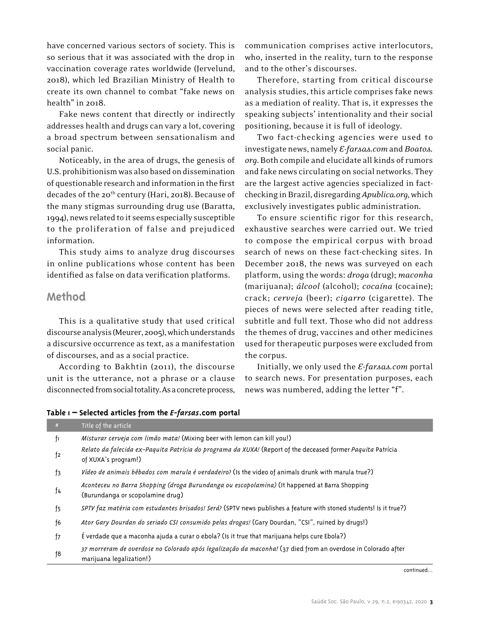have concerned various sectors of society. This is so serious that it was associated with the drop in vaccination coverage rates worldwide (Jervelund, 2018), which led Brazilian Ministry of Health to create its own channel to combat "fake news on health" in 2018.

Fake news content that directly or indirectly addresses health and drugs can vary a lot, covering a broad spectrum between sensationalism and social panic.

Noticeably, in the area of drugs, the genesis of U.S. prohibitionism was also based on dissemination of questionable research and information in the first decades of the 20<sup>th</sup> century (Hari, 2018). Because of the many stigmas surrounding drug use (Baratta, 1994), news related to it seems especially susceptible to the proliferation of false and prejudiced information.

This study aims to analyze drug discourses in online publications whose content has been identified as false on data verification platforms.

# **Method**

This is a qualitative study that used critical discourse analysis (Meurer, 2005), which understands a discursive occurrence as text, as a manifestation of discourses, and as a social practice.

According to Bakhtin (2011), the discourse unit is the utterance, not a phrase or a clause disconnected from social totality. As a concrete process,

**Table 1 – Selected articles from the** *E-farsas***.com portal**

communication comprises active interlocutors, who, inserted in the reality, turn to the response and to the other's discourses.

Therefore, starting from critical discourse analysis studies, this article comprises fake news as a mediation of reality. That is, it expresses the speaking subjects' intentionality and their social positioning, because it is full of ideology.

Two fact-checking agencies were used to investigate news, namely *E-farsas.com* and *Boatos. org*. Both compile and elucidate all kinds of rumors and fake news circulating on social networks. They are the largest active agencies specialized in factchecking in Brazil, disregarding *Apublica.org*, which exclusively investigates public administration.

To ensure scientific rigor for this research, exhaustive searches were carried out. We tried to compose the empirical corpus with broad search of news on these fact-checking sites. In December 2018, the news was surveyed on each platform, using the words: *droga* (drug); *maconha* (marijuana); *álcool* (alcohol); *cocaína* (cocaine); crack; *cerveja* (beer); *cigarro* (cigarette). The pieces of news were selected after reading title, subtitle and full text. Those who did not address the themes of drug, vaccines and other medicines used for therapeutic purposes were excluded from the corpus.

Initially, we only used the *E-farsas.com* portal to search news. For presentation purposes, each news was numbered, adding the letter "f".

| #  | Title of the article                                                                                                                     |
|----|------------------------------------------------------------------------------------------------------------------------------------------|
| f١ | Misturar cerveja com limão mata! (Mixing beer with lemon can kill you!)                                                                  |
| f2 | Relato da falecida ex-Paquita Patrícia do programa da XUXA! (Report of the deceased former Paquita Patrícia<br>of XUXA's program!)       |
| f3 | Vídeo de animais bêbados com marula é verdadeiro? (Is the video of animals drunk with marula true?)                                      |
| f4 | Aconteceu no Barra Shopping (droga Burundanga ou escopolamina) (It happened at Barra Shopping<br>(Burundanga or scopolamine drug)        |
| f5 | SPTV faz matéria com estudantes brisados! Será? (SPTV news publishes a feature with stoned students! Is it true?)                        |
| f6 | Ator Gary Dourdan do seriado CSI consumido pelas drogas! (Gary Dourdan, "CSI", ruined by drugs!)                                         |
| f7 | É verdade que a maconha ajuda a curar o ebola? (Is it true that marijuana helps cure Ebola?)                                             |
| f8 | 37 morreram de overdose no Colorado após legalização da maconha! (37 died from an overdose in Colorado after<br>marijuana legalization!) |

continued...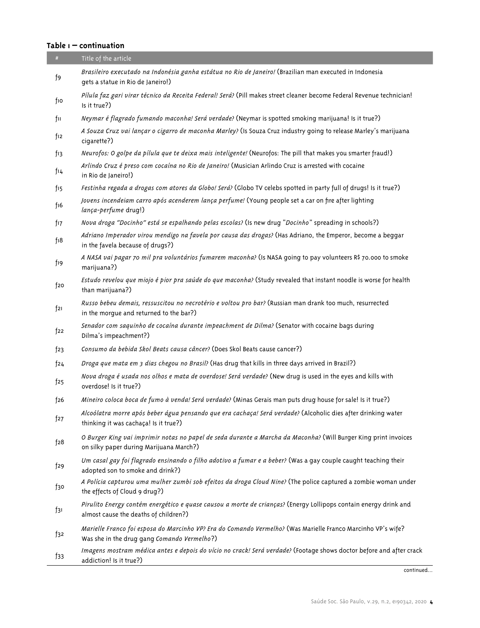## **Table 1 – continuation**

| #               | Title of the article                                                                                                                                        |
|-----------------|-------------------------------------------------------------------------------------------------------------------------------------------------------------|
| f9              | Brasileiro executado na Indonésia ganha estátua no Rio de Janeiro! (Brazilian man executed in Indonesia<br>gets a statue in Rio de Janeiro!)                |
| fio             | Pílula faz gari virar técnico da Receita Federal! Será? (Pill makes street cleaner become Federal Revenue technician!<br>Is it true?)                       |
| fu              | Neymar é flagrado fumando maconha! Será verdade? (Neymar is spotted smoking marijuana! Is it true?)                                                         |
| f12             | A Souza Cruz vai lançar o cigarro de maconha Marley? (Is Souza Cruz industry going to release Marley's marijuana<br>cigarette?)                             |
| fı3             | Neurofos: O golpe da pílula que te deixa mais inteligente! (Neurofos: The pill that makes you smarter fraud!)                                               |
| f14             | Arlindo Cruz é preso com cocaína no Rio de Janeiro! (Musician Arlindo Cruz is arrested with cocaine<br>in Rio de Janeiro!)                                  |
| fı5             | Festinha regada a drogas com atores da Globo! Será? (Globo TV celebs spotted in party full of drugs! Is it true?)                                           |
| f16             | Jovens incendeiam carro após acenderem lança perfume! (Young people set a car on fire after lighting<br>lança-perfume drug!)                                |
| fı7             | Nova droga "Docinho" está se espalhando pelas escolas? (Is new drug "Docinho" spreading in schools?)                                                        |
| f <sub>18</sub> | Adriano Imperador virou mendigo na favela por causa das drogas? (Has Adriano, the Emperor, become a beggar<br>in the favela because of drugs?)              |
| f19             | A NASA vai pagar 70 mil pra voluntários fumarem maconha? (Is NASA going to pay volunteers R\$ 70.000 to smoke<br>marijuana?)                                |
| f20             | Estudo revelou que miojo é pior pra saúde do que maconha? (Study revealed that instant noodle is worse for health<br>than marijuana?)                       |
| f21             | Russo bebeu demais, ressuscitou no necrotério e voltou pro bar? (Russian man drank too much, resurrected<br>in the morgue and returned to the bar?)         |
| f22             | Senador com saquinho de cocaína durante impeachment de Dilma? (Senator with cocaine bags during<br>Dilma's impeachment?)                                    |
| f <sub>23</sub> | Consumo da bebida Skol Beats causa câncer? (Does Skol Beats cause cancer?)                                                                                  |
| f24             | Droga que mata em 3 dias chegou no Brasil? (Has drug that kills in three days arrived in Brazil?)                                                           |
| f25             | Nova droga é usada nos olhos e mata de overdose! Será verdade? (New drug is used in the eyes and kills with<br>overdose! Is it true?)                       |
| f26             | Mineiro coloca boca de fumo à venda! Será verdade? (Minas Gerais man puts drug house for sale! Is it true?)                                                 |
| f27             | Alcoólatra morre após beber água pensando que era cachaça! Será verdade? (Alcoholic dies after drinking water<br>thinking it was cachaça! Is it true?)      |
| f28             | O Burger King vai imprimir notas no papel de seda durante a Marcha da Maconha? (Will Burger King print invoices<br>on silky paper during Marijuana March?)  |
| f29             | Um casal gay foi flagrado ensinando o filho adotivo a fumar e a beber? (Was a gay couple caught teaching their<br>adopted son to smoke and drink?)          |
| f30             | A Polícia capturou uma mulher zumbi sob efeitos da droga Cloud Nine? (The police captured a zombie woman under<br>the effects of Cloud 9 drug?)             |
| f31             | Pirulito Energy contém energético e quase causou a morte de crianças? (Energy Lollipops contain energy drink and<br>almost cause the deaths of children?)   |
| $f$ 32          | Marielle Franco foi esposa do Marcinho VP? Era do Comando Vermelho? (Was Marielle Franco Marcinho VP's wife?<br>Was she in the drug gang Comando Vermelho?) |
| f33             | Imagens mostram médica antes e depois do vício no crack! Será verdade? (Footage shows doctor before and after crack<br>addiction! Is it true?)              |

continued...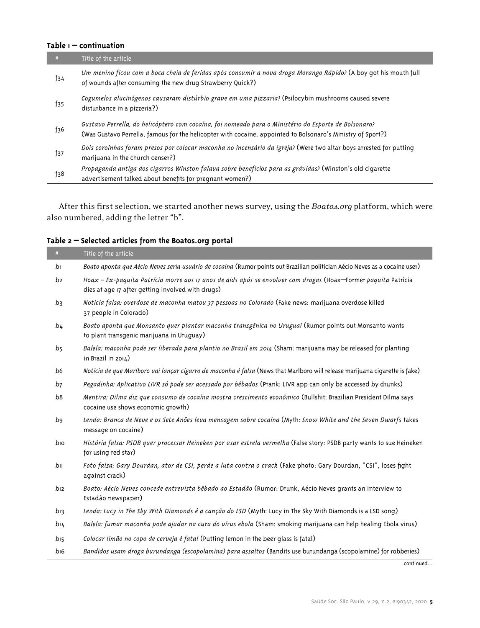## **Table 1 – continuation**

| #      | Title of the article                                                                                                                                                                                                |
|--------|---------------------------------------------------------------------------------------------------------------------------------------------------------------------------------------------------------------------|
| f34    | Um menino ficou com a boca cheia de feridas após consumir a nova droga Morango Rápido? (A boy got his mouth full<br>of wounds after consuming the new drug Strawberry Quick?)                                       |
| f35    | Cogumelos alucinógenos causaram distúrbio grave em uma pizzaria? (Psilocybin mushrooms caused severe<br>disturbance in a pizzeria?)                                                                                 |
| f36    | (Gustavo Perrella, do helicóptero com cocaína, foi nomeado para o Ministério do Esporte de Bolsonaro<br>(Was Gustavo Perrella, famous for the helicopter with cocaine, appointed to Bolsonaro's Ministry of Sport?) |
| f37    | Dois coroinhas foram presos por colocar maconha no incensário da igreja? (Were two altar boys arrested for putting<br>marijuana in the church censer?)                                                              |
| $f_38$ | Propaganda antiga dos cigarros Winston falava sobre benefícios para as grávidas? (Winston's old cigarette<br>advertisement talked about benefits for pregnant women?)                                               |

After this first selection, we started another news survey, using the *Boatos.org* platform, which were also numbered, adding the letter "b".

| #               | Title of the article                                                                                                                                                |
|-----------------|---------------------------------------------------------------------------------------------------------------------------------------------------------------------|
| bı              | Boato aponta que Aécio Neves seria usuário de cocaína (Rumor points out Brazilian politician Aécio Neves as a cocaine user)                                         |
| b2              | Hoax – Ex-paquita Patrícia morre aos 17 anos de aids após se envolver com drogas (Hoax-Former paquita Patrícia<br>dies at age 17 after getting involved with drugs) |
| b3              | Notícia falsa: overdose de maconha matou 37 pessoas no Colorado (Fake news: marijuana overdose killed<br>37 people in Colorado)                                     |
| b <sub>4</sub>  | Boato aponta que Monsanto quer plantar maconha transgênica no Uruguai (Rumor points out Monsanto wants<br>to plant transgenic marijuana in Uruguay)                 |
| b <sub>5</sub>  | Balela: maconha pode ser liberada para plantio no Brasil em 2014 (Sham: marijuana may be released for planting<br>in Brazil in 2014)                                |
| b6              | Notícia de que Marlboro vai lançar cigarro de maconha é falsa (News that Marlboro will release marijuana cigarette is fake)                                         |
| b7              | Pegadinha: Aplicativo LIVR só pode ser acessado por bêbados (Prank: LIVR app can only be accessed by drunks)                                                        |
| b8              | Mentira: Dilma diz que consumo de cocaína mostra crescimento econômico (Bullshit: Brazilian President Dilma says<br>cocaine use shows economic growth)              |
| b9              | Lenda: Branca de Neve e os Sete Anões leva mensagem sobre cocaína (Myth: Snow White and the Seven Dwarfs takes<br>message on cocaine)                               |
| bıo             | História falsa: PSDB quer processar Heineken por usar estrela vermelha (False story: PSDB party wants to sue Heineken<br>for using red star)                        |
| bıı             | Foto falsa: Gary Dourdan, ator de CSI, perde a luta contra o crack (Fake photo: Gary Dourdan, "CSI", loses fight<br>against crack)                                  |
| bı2             | Boato: Aécio Neves concede entrevista bêbado ao Estadão (Rumor: Drunk, Aécio Neves grants an interview to<br>Estadão newspaper)                                     |
| bı3             | Lenda: Lucy in The Sky With Diamonds é a canção do LSD (Myth: Lucy in The Sky With Diamonds is a LSD song)                                                          |
| $b_1$           | Balela: fumar maconha pode ajudar na cura do vírus ebola (Sham: smoking marijuana can help healing Ebola virus)                                                     |
| b <sub>15</sub> | Colocar limão no copo de cerveja é fatal (Putting lemon in the beer glass is fatal)                                                                                 |
| bı6             | Bandidos usam droga burundanga (escopolamina) para assaltos (Bandits use burundanga (scopolamine) for robberies)                                                    |

## **Table 2 – Selected articles from the Boatos.org portal**

continued...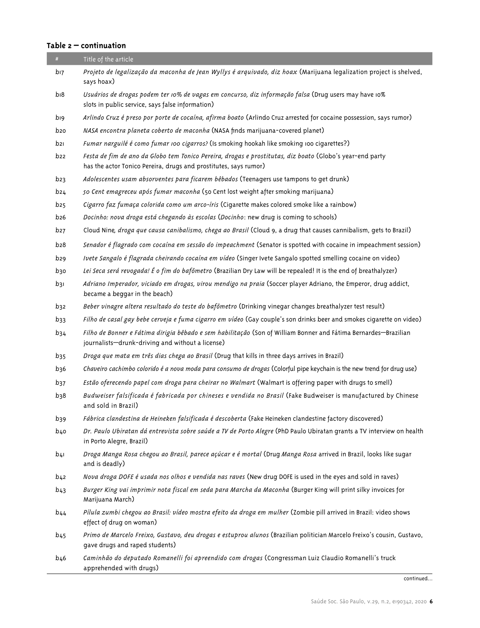## **Table 2 – continuation**

| #               | Title of the article                                                                                                                                                         |
|-----------------|------------------------------------------------------------------------------------------------------------------------------------------------------------------------------|
| bı7             | Projeto de legalização da maconha de Jean Wyllys é arquivado, diz hoax (Marijuana legalization project is shelved,<br>says hoax)                                             |
| bı8             | Usuários de drogas podem ter 10% de vagas em concurso, diz informação falsa (Drug users may have 10%<br>slots in public service, says false information)                     |
| bı9             | Arlindo Cruz é preso por porte de cocaína, afirma boato (Arlindo Cruz arrested for cocaine possession, says rumor)                                                           |
| b20             | NASA encontra planeta coberto de maconha (NASA finds marijuana-covered planet)                                                                                               |
| b21             | Fumar narguilé é como fumar 100 cigarros? (Is smoking hookah like smoking 100 cigarettes?)                                                                                   |
| b22             | Festa de fim de ano da Globo tem Tonico Pereira, drogas e prostitutas, diz boato (Globo's year-end party<br>has the actor Tonico Pereira, drugs and prostitutes, says rumor) |
| b23             | Adolescentes usam absorventes para ficarem bêbados (Teenagers use tampons to get drunk)                                                                                      |
| b24             | 50 Cent emagreceu após fumar maconha (50 Cent lost weight after smoking marijuana)                                                                                           |
| b25             | Cigarro faz fumaça colorida como um arco-íris (Cigarette makes colored smoke like a rainbow)                                                                                 |
| b26             | Docinho: nova droga está chegando às escolas (Docinho: new drug is coming to schools)                                                                                        |
| b27             | Cloud Nine, droga que causa canibalismo, chega ao Brasil (Cloud 9, a drug that causes cannibalism, gets to Brazil)                                                           |
| b28             | Senador é flagrado com cocaína em sessão do impeachment (Senator is spotted with cocaine in impeachment session)                                                             |
| b29             | Ivete Sangalo é flagrada cheirando cocaína em vídeo (Singer Ivete Sangalo spotted smelling cocaine on video)                                                                 |
| b30             | Lei Seca será revogada! É o fim do bafômetro (Brazilian Dry Law will be repealed! It is the end of breathalyzer)                                                             |
| b3ı             | Adriano Imperador, viciado em drogas, virou mendigo na praia (Soccer player Adriano, the Emperor, drug addict,<br>became a beggar in the beach)                              |
| b32             | Beber vinagre altera resultado do teste do bafômetro (Drinking vinegar changes breathalyzer test result)                                                                     |
| b33             | Filho de casal gay bebe cerveja e fuma cigarro em vídeo (Gay couple's son drinks beer and smokes cigarette on video)                                                         |
| $b_34$          | Filho de Bonner e Fátima dirigia bêbado e sem habilitação (Son of William Bonner and Fátima Bernardes-Brazilian<br>journalists-drunk-driving and without a license)          |
| b <sub>35</sub> | Droga que mata em três dias chega ao Brasil (Drug that kills in three days arrives in Brazil)                                                                                |
| b36             | Chaveiro cachimbo colorido é a nova moda para consumo de drogas (Colorful pipe keychain is the new trend for drug use)                                                       |
| b37             | Estão oferecendo papel com droga para cheirar no Walmart (Walmart is offering paper with drugs to smell)                                                                     |
| $b_38$          | Budweiser falsificada é fabricada por chineses e vendida no Brasil (Fake Budweiser is manufactured by Chinese<br>and sold in Brazil)                                         |
| b39             | Fábrica clandestina de Heineken falsificada é descoberta (Fake Heineken clandestine factory discovered)                                                                      |
| b40             | Dr. Paulo Ubiratan dá entrevista sobre saúde a TV de Porto Alegre (PhD Paulo Ubiratan grants a TV interview on health<br>in Porto Alegre, Brazil)                            |
| b4ı             | Droga Manga Rosa chegou ao Brasil, parece açúcar e é mortal (Drug Manga Rosa arrived in Brazil, looks like sugar<br>and is deadly)                                           |
| b42             | Nova droga DOFE é usada nos olhos e vendida nas raves (New drug DOFE is used in the eyes and sold in raves)                                                                  |
| b43             | Burger King vai imprimir nota fiscal em seda para Marcha da Maconha (Burger King will print silky invoices for<br>Marijuana March)                                           |
| b44             | Pílula zumbi chegou ao Brasil: vídeo mostra efeito da droga em mulher (Zombie pill arrived in Brazil: video shows<br>effect of drug on woman)                                |
| b <sub>45</sub> | Primo de Marcelo Freixo, Gustavo, deu drogas e estuprou alunos (Brazilian politician Marcelo Freixo's cousin, Gustavo,<br>gave drugs and raped students)                     |
| b46             | Caminhão do deputado Romanelli foi apreendido com drogas (Congressman Luiz Claudio Romanelli's truck<br>apprehended with drugs)                                              |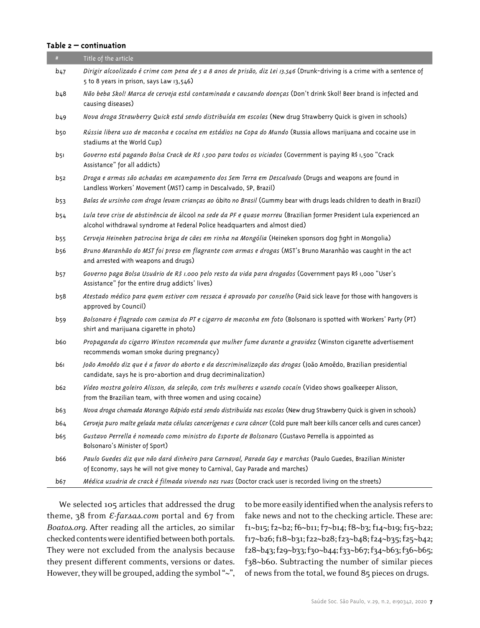#### **Table 2 – continuation**

ı

| #           | Title of the article                                                                                                                                                                                 |
|-------------|------------------------------------------------------------------------------------------------------------------------------------------------------------------------------------------------------|
| b47         | Dirigir alcoolizado é crime com pena de 5 a 8 anos de prisão, diz Lei 13.546 (Drunk-driving is a crime with a sentence of<br>5 to 8 years in prison, says Law 13,546)                                |
| b48         | Não beba Skol! Marca de cerveja está contaminada e causando doenças (Don't drink Skol! Beer brand is infected and<br>causing diseases)                                                               |
| b49         | Nova droga Strawberry Quick está sendo distribuída em escolas (New drug Strawberry Quick is given in schools)                                                                                        |
| b50         | Rússia libera uso de maconha e cocaína em estádios na Copa do Mundo (Russia allows marijuana and cocaine use in<br>stadiums at the World Cup)                                                        |
| b5ı         | Governo está pagando Bolsa Crack de R\$ 1.500 para todos os viciados (Government is paying R\$ 1,500 "Crack<br>Assistance" for all addicts)                                                          |
| b52         | Droga e armas são achadas em acampamento dos Sem Terra em Descalvado (Drugs and weapons are found in<br>Landless Workers' Movement (MST) camp in Descalvado, SP, Brazil)                             |
| b53         | Balas de ursinho com droga levam crianças ao óbito no Brasil (Gummy bear with drugs leads children to death in Brazil)                                                                               |
| $b$ 54      | Lula teve crise de abstinência de álcool na sede da PF e quase morreu (Brazilian former President Lula experienced an<br>alcohol withdrawal syndrome at Federal Police headquarters and almost died) |
| <b>b</b> 55 | Cerveja Heineken patrocina briga de cães em rinha na Mongólia (Heineken sponsors dog fight in Mongolia)                                                                                              |
| b56         | Bruno Maranhão do MST foi preso em flagrante com armas e drogas (MST's Bruno Maranhão was caught in the act<br>and arrested with weapons and drugs)                                                  |
| <b>b</b> 57 | Governo paga Bolsa Usuário de R\$ 1.000 pelo resto da vida para drogados (Government pays R\$ 1,000 "User's<br>Assistance" for the entire drug addicts' lives)                                       |
| b58         | Atestado médico para quem estiver com ressaca é aprovado por conselho (Paid sick leave for those with hangovers is<br>approved by Council)                                                           |
| b59         | Bolsonaro é flagrado com camisa do PT e cigarro de maconha em foto (Bolsonaro is spotted with Workers' Party (PT)<br>shirt and marijuana cigarette in photo)                                         |
| b6o         | Propaganda do cigarro Winston recomenda que mulher fume durante a gravidez (Winston cigarette advertisement<br>recommends woman smoke during pregnancy)                                              |
| b6ı         | João Amoêdo diz que é a favor do aborto e da descriminalização das drogas (João Amoêdo, Brazilian presidential<br>candidate, says he is pro-abortion and drug decriminalization)                     |
| b62         | Vídeo mostra goleiro Alisson, da seleção, com três mulheres e usando cocaín (Video shows goalkeeper Alisson,<br>from the Brazilian team, with three women and using cocaine)                         |
| b63         | Nova droga chamada Morango Rápido está sendo distribuída nas escolas (New drug Strawberry Quick is given in schools)                                                                                 |
| b64         | Cerveja puro malte gelada mata células cancerígenas e cura câncer (Cold pure malt beer kills cancer cells and cures cancer)                                                                          |
| b65         | Gustavo Perrella é nomeado como ministro do Esporte de Bolsonaro (Gustavo Perrella is appointed as<br>Bolsonaro's Minister of Sport)                                                                 |
| b66         | Paulo Guedes diz que não dará dinheiro para Carnaval, Parada Gay e marchas (Paulo Guedes, Brazilian Minister<br>of Economy, says he will not give money to Carnival, Gay Parade and marches)         |
| b67         | Médica usuária de crack é filmada vivendo nas ruas (Doctor crack user is recorded living on the streets)                                                                                             |

We selected 105 articles that addressed the drug theme, 38 from *E-farsas.com* portal and 67 from *Boatos.org*. After reading all the articles, 20 similar checked contents were identified between both portals. They were not excluded from the analysis because they present different comments, versions or dates. However, they will be grouped, adding the symbol "~", to be more easily identified when the analysis refers to fake news and not to the checking article. These are: f1~b15; f2~b2; f6~b11; f7~b14; f8~b3; f14~b19; f15~b22; f17~b26; f18~b31; f22~b28; f23~b48; f24~b35; f25~b42; f28~b43; f29~b33; f30~b44; f33~b67; f34~b63; f36~b65; f38~b60. Subtracting the number of similar pieces of news from the total, we found 85 pieces on drugs.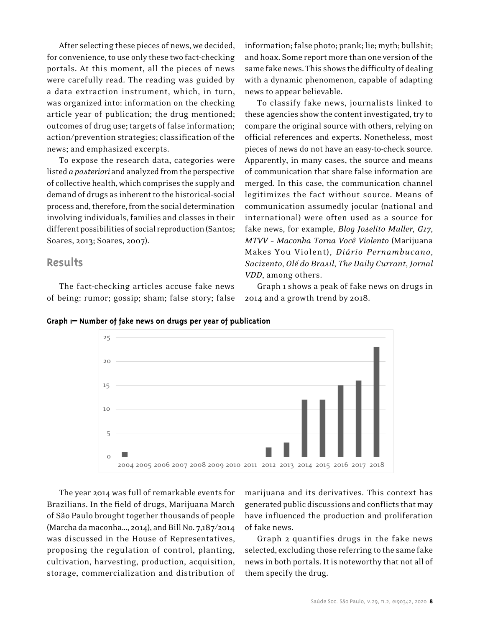After selecting these pieces of news, we decided, for convenience, to use only these two fact-checking portals. At this moment, all the pieces of news were carefully read. The reading was guided by a data extraction instrument, which, in turn, was organized into: information on the checking article year of publication; the drug mentioned; outcomes of drug use; targets of false information; action/prevention strategies; classification of the news; and emphasized excerpts.

To expose the research data, categories were listed *a posteriori* and analyzed from the perspective of collective health, which comprises the supply and demand of drugs as inherent to the historical-social process and, therefore, from the social determination involving individuals, families and classes in their different possibilities of social reproduction (Santos; Soares, 2013; Soares, 2007).

# **Results**

The fact-checking articles accuse fake news of being: rumor; gossip; sham; false story; false

5

10

15

 $20$ 

25

information; false photo; prank; lie; myth; bullshit; and hoax. Some report more than one version of the same fake news. This shows the difficulty of dealing with a dynamic phenomenon, capable of adapting news to appear believable.

To classify fake news, journalists linked to these agencies show the content investigated, try to compare the original source with others, relying on official references and experts. Nonetheless, most pieces of news do not have an easy-to-check source. Apparently, in many cases, the source and means of communication that share false information are merged. In this case, the communication channel legitimizes the fact without source. Means of communication assumedly jocular (national and international) were often used as a source for fake news, for example, *Blog Joselito Muller*, *G17*, *MTVV – Maconha Torna Você Violento* (Marijuana Makes You Violent), *Diário Pernambucano*, *Sacizento*, *Olé do Brasil*, *The Daily Currant*, *Jornal VDD*, among others.

Graph 1 shows a peak of fake news on drugs in 2014 and a growth trend by 2018.





storage, commercialization and distribution of

marijuana and its derivatives. This context has generated public discussions and conflicts that may have influenced the production and proliferation of fake news.

Graph 2 quantifies drugs in the fake news selected, excluding those referring to the same fake news in both portals. It is noteworthy that not all of them specify the drug.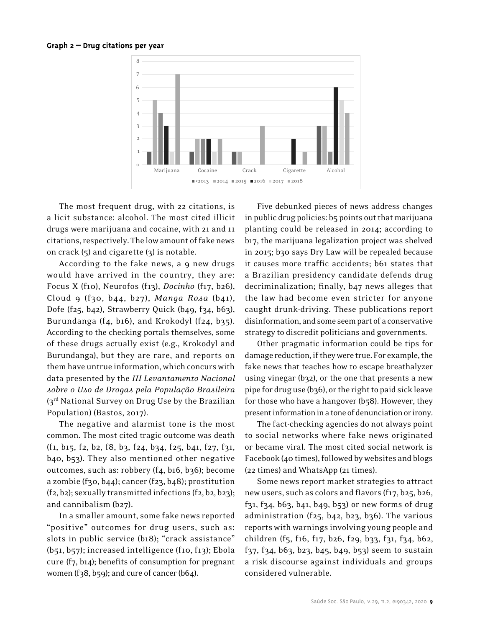#### **Graph 2 – Drug citations per year**



The most frequent drug, with 22 citations, is a licit substance: alcohol. The most cited illicit drugs were marijuana and cocaine, with 21 and 11 citations, respectively. The low amount of fake news on crack  $(5)$  and cigarette  $(3)$  is notable.

According to the fake news, a 9 new drugs would have arrived in the country, they are: Focus X (f10), Neurofos (f13), *Docinho* (f17, b26), Cloud 9 (f30, b44, b27), *Manga Rosa* (b41), Dofe (f25, b42), Strawberry Quick (b49, f34, b63), Burundanga (f4, b16), and Krokodyl (f24, b35). According to the checking portals themselves, some of these drugs actually exist (e.g., Krokodyl and Burundanga), but they are rare, and reports on them have untrue information, which concurs with data presented by the *III Levantamento Nacional sobre o Uso de Drogas pela População Brasileira*  (3rd National Survey on Drug Use by the Brazilian Population) (Bastos, 2017).

The negative and alarmist tone is the most common. The most cited tragic outcome was death (f1, b15, f2, b2, f8, b3, f24, b34, f25, b41, f27, f31, b40, b53). They also mentioned other negative outcomes, such as: robbery (f4, b16, b36); become a zombie (f30, b44); cancer (f23, b48); prostitution  $(f_2, b_2)$ ; sexually transmitted infections  $(f_2, b_2, b_2)$ ; and cannibalism (b27).

In a smaller amount, some fake news reported "positive" outcomes for drug users, such as: slots in public service (b18); "crack assistance" (b51, b57); increased intelligence (f10, f13); Ebola cure (f7, b14); benefits of consumption for pregnant women (f38, b59); and cure of cancer (b64).

Five debunked pieces of news address changes in public drug policies: b5 points out that marijuana planting could be released in 2014; according to b17, the marijuana legalization project was shelved in 2015; b30 says Dry Law will be repealed because it causes more traffic accidents; b61 states that a Brazilian presidency candidate defends drug decriminalization; finally, b47 news alleges that the law had become even stricter for anyone caught drunk-driving. These publications report disinformation, and some seem part of a conservative strategy to discredit politicians and governments.

Other pragmatic information could be tips for damage reduction, if they were true. For example, the fake news that teaches how to escape breathalyzer using vinegar (b32), or the one that presents a new pipe for drug use (b36), or the right to paid sick leave for those who have a hangover (b58). However, they present information in a tone of denunciation or irony.

The fact-checking agencies do not always point to social networks where fake news originated or became viral. The most cited social network is Facebook (40 times), followed by websites and blogs (22 times) and WhatsApp (21 times).

Some news report market strategies to attract new users, such as colors and flavors (f17, b25, b26, f31, f34, b63, b41, b49, b53) or new forms of drug administration (f25, b42, b23, b36). The various reports with warnings involving young people and children (f5, f16, f17, b26, f29, b33, f31, f34, b62, f37, f34, b63, b23, b45, b49, b53) seem to sustain a risk discourse against individuals and groups considered vulnerable.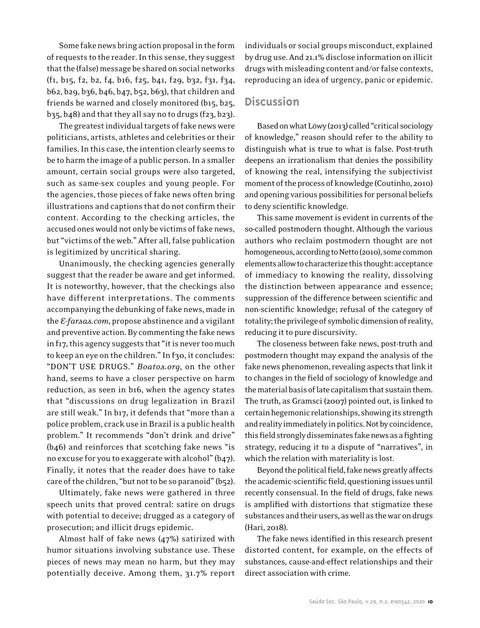Some fake news bring action proposal in the form of requests to the reader. In this sense, they suggest that the (false) message be shared on social networks (f1, b15, f2, b2, f4, b16, f25, b41, f29, b32, f31, f34, b62, b29, b36, b46, b47, b52, b63), that children and friends be warned and closely monitored (b15, b25, b35, b48) and that they all say no to drugs (f23, b23).

The greatest individual targets of fake news were politicians, artists, athletes and celebrities or their families. In this case, the intention clearly seems to be to harm the image of a public person. In a smaller amount, certain social groups were also targeted, such as same-sex couples and young people. For the agencies, those pieces of fake news often bring illustrations and captions that do not confirm their content. According to the checking articles, the accused ones would not only be victims of fake news, but "victims of the web." After all, false publication is legitimized by uncritical sharing.

Unanimously, the checking agencies generally suggest that the reader be aware and get informed. It is noteworthy, however, that the checkings also have different interpretations. The comments accompanying the debunking of fake news, made in the *E-farsas.com*, propose abstinence and a vigilant and preventive action. By commenting the fake news in f17, this agency suggests that "it is never too much to keep an eye on the children." In f30, it concludes: "DON'T USE DRUGS." *Boatos.org*, on the other hand, seems to have a closer perspective on harm reduction, as seen in b16, when the agency states that "discussions on drug legalization in Brazil are still weak." In b17, it defends that "more than a police problem, crack use in Brazil is a public health problem." It recommends "don't drink and drive" (b46) and reinforces that scotching fake news "is no excuse for you to exaggerate with alcohol" (b47). Finally, it notes that the reader does have to take care of the children, "but not to be so paranoid" (b52).

Ultimately, fake news were gathered in three speech units that proved central: satire on drugs with potential to deceive; drugged as a category of prosecution; and illicit drugs epidemic.

Almost half of fake news (47%) satirized with humor situations involving substance use. These pieces of news may mean no harm, but they may potentially deceive. Among them, 31.7% report

individuals or social groups misconduct, explained by drug use. And 21.1% disclose information on illicit drugs with misleading content and/or false contexts, reproducing an idea of urgency, panic or epidemic.

# **Discussion**

Based on what Löwy (2013) called "critical sociology of knowledge," reason should refer to the ability to distinguish what is true to what is false. Post-truth deepens an irrationalism that denies the possibility of knowing the real, intensifying the subjectivist moment of the process of knowledge (Coutinho, 2010) and opening various possibilities for personal beliefs to deny scientific knowledge.

This same movement is evident in currents of the so-called postmodern thought. Although the various authors who reclaim postmodern thought are not homogeneous, according to Netto (2010), some common elements allow to characterize this thought: acceptance of immediacy to knowing the reality, dissolving the distinction between appearance and essence; suppression of the difference between scientific and non-scientific knowledge; refusal of the category of totality; the privilege of symbolic dimension of reality, reducing it to pure discursivity.

The closeness between fake news, post-truth and postmodern thought may expand the analysis of the fake news phenomenon, revealing aspects that link it to changes in the field of sociology of knowledge and the material basis of late capitalism that sustain them. The truth, as Gramsci (2007) pointed out, is linked to certain hegemonic relationships, showing its strength and reality immediately in politics. Not by coincidence, this field strongly disseminates fake news as a fighting strategy, reducing it to a dispute of "narratives", in which the relation with materiality is lost.

Beyond the political field, fake news greatly affects the academic-scientific field, questioning issues until recently consensual. In the field of drugs, fake news is amplified with distortions that stigmatize these substances and their users, as well as the war on drugs (Hari, 2018).

The fake news identified in this research present distorted content, for example, on the effects of substances, cause-and-effect relationships and their direct association with crime.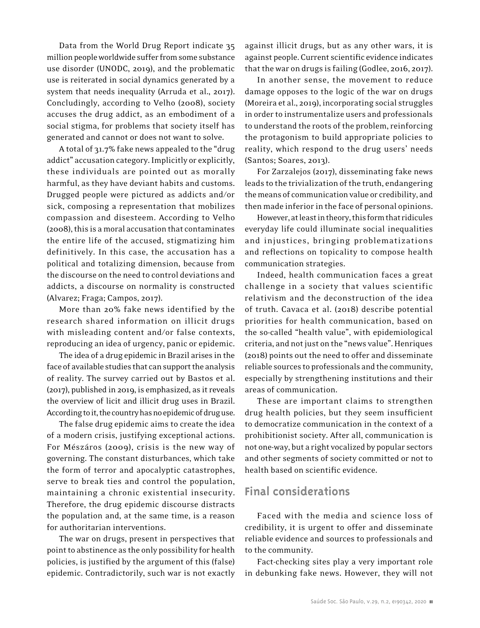Data from the World Drug Report indicate 35 million people worldwide suffer from some substance use disorder (UNODC, 2019), and the problematic use is reiterated in social dynamics generated by a system that needs inequality (Arruda et al., 2017). Concludingly, according to Velho (2008), society accuses the drug addict, as an embodiment of a social stigma, for problems that society itself has generated and cannot or does not want to solve.

A total of 31.7% fake news appealed to the "drug addict" accusation category. Implicitly or explicitly, these individuals are pointed out as morally harmful, as they have deviant habits and customs. Drugged people were pictured as addicts and/or sick, composing a representation that mobilizes compassion and disesteem. According to Velho (2008), this is a moral accusation that contaminates the entire life of the accused, stigmatizing him definitively. In this case, the accusation has a political and totalizing dimension, because from the discourse on the need to control deviations and addicts, a discourse on normality is constructed (Alvarez; Fraga; Campos, 2017).

More than 20% fake news identified by the research shared information on illicit drugs with misleading content and/or false contexts, reproducing an idea of urgency, panic or epidemic.

The idea of a drug epidemic in Brazil arises in the face of available studies that can support the analysis of reality. The survey carried out by Bastos et al. (2017), published in 2019, is emphasized, as it reveals the overview of licit and illicit drug uses in Brazil. According to it, the country has no epidemic of drug use.

The false drug epidemic aims to create the idea of a modern crisis, justifying exceptional actions. For Mészáros (2009), crisis is the new way of governing. The constant disturbances, which take the form of terror and apocalyptic catastrophes, serve to break ties and control the population, maintaining a chronic existential insecurity. Therefore, the drug epidemic discourse distracts the population and, at the same time, is a reason for authoritarian interventions.

The war on drugs, present in perspectives that point to abstinence as the only possibility for health policies, is justified by the argument of this (false) epidemic. Contradictorily, such war is not exactly against illicit drugs, but as any other wars, it is against people. Current scientific evidence indicates that the war on drugs is failing (Godlee, 2016, 2017).

In another sense, the movement to reduce damage opposes to the logic of the war on drugs (Moreira et al., 2019), incorporating social struggles in order to instrumentalize users and professionals to understand the roots of the problem, reinforcing the protagonism to build appropriate policies to reality, which respond to the drug users' needs (Santos; Soares, 2013).

For Zarzalejos (2017), disseminating fake news leads to the trivialization of the truth, endangering the means of communication value or credibility, and then made inferior in the face of personal opinions.

However, at least in theory, this form that ridicules everyday life could illuminate social inequalities and injustices, bringing problematizations and reflections on topicality to compose health communication strategies.

Indeed, health communication faces a great challenge in a society that values scientific relativism and the deconstruction of the idea of truth. Cavaca et al. (2018) describe potential priorities for health communication, based on the so-called "health value", with epidemiological criteria, and not just on the "news value". Henriques (2018) points out the need to offer and disseminate reliable sources to professionals and the community, especially by strengthening institutions and their areas of communication.

These are important claims to strengthen drug health policies, but they seem insufficient to democratize communication in the context of a prohibitionist society. After all, communication is not one-way, but a right vocalized by popular sectors and other segments of society committed or not to health based on scientific evidence.

# **Final considerations**

Faced with the media and science loss of credibility, it is urgent to offer and disseminate reliable evidence and sources to professionals and to the community.

Fact-checking sites play a very important role in debunking fake news. However, they will not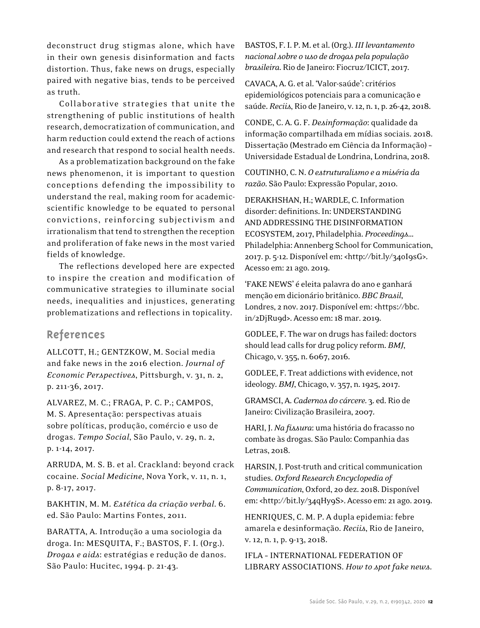deconstruct drug stigmas alone, which have in their own genesis disinformation and facts distortion. Thus, fake news on drugs, especially paired with negative bias, tends to be perceived as truth.

Collaborative strategies that unite the strengthening of public institutions of health research, democratization of communication, and harm reduction could extend the reach of actions and research that respond to social health needs.

As a problematization background on the fake news phenomenon, it is important to question conceptions defending the impossibility to understand the real, making room for academicscientific knowledge to be equated to personal convictions, reinforcing subjectivism and irrationalism that tend to strengthen the reception and proliferation of fake news in the most varied fields of knowledge.

The reflections developed here are expected to inspire the creation and modification of communicative strategies to illuminate social needs, inequalities and injustices, generating problematizations and reflections in topicality.

# **References**

ALLCOTT, H.; GENTZKOW, M. Social media and fake news in the 2016 election. *Journal of Economic Perspectives*, Pittsburgh, v. 31, n. 2, p. 211-36, 2017.

ALVAREZ, M. C.; FRAGA, P. C. P.; CAMPOS, M. S. Apresentação: perspectivas atuais sobre políticas, produção, comércio e uso de drogas. *Tempo Social*, São Paulo, v. 29, n. 2, p. 1-14, 2017.

ARRUDA, M. S. B. et al. Crackland: beyond crack cocaine. *Social Medicine*, Nova York, v. 11, n. 1, p. 8-17, 2017.

BAKHTIN, M. M. *Estética da criação verbal*. 6. ed. São Paulo: Martins Fontes, 2011.

BARATTA, A. Introdução a uma sociologia da droga. In: MESQUITA, F.; BASTOS, F. I. (Org.). *Drogas e aids*: estratégias e redução de danos. São Paulo: Hucitec, 1994. p. 21-43.

BASTOS, F. I. P. M. et al. (Org.). *III levantamento nacional sobre o uso de drogas pela população brasileira*. Rio de Janeiro: Fiocruz/ICICT, 2017.

CAVACA, A. G. et al. 'Valor-saúde': critérios epidemiológicos potenciais para a comunicação e saúde. *Reciis*, Rio de Janeiro, v.12, n.1, p. 26-42, 2018.

CONDE, C. A. G. F. *Desinformação*: qualidade da informação compartilhada em mídias sociais. 2018. Dissertação (Mestrado em Ciência da Informação) – Universidade Estadual de Londrina, Londrina, 2018.

COUTINHO, C. N. *O estruturalismo e a miséria da razão*. São Paulo: Expressão Popular, 2010.

DERAKHSHAN, H.; WARDLE, C. Information disorder: definitions. In: UNDERSTANDING AND ADDRESSING THE DISINFORMATION ECOSYSTEM, 2017, Philadelphia. *Proceedings*… Philadelphia: Annenberg School for Communication, 2017. p. 5-12. Disponível em: <http://bit.ly/34oI9sG>. Acesso em: 21 ago. 2019.

'FAKE NEWS' é eleita palavra do ano e ganhará menção em dicionário britânico. *BBC Brasil*, Londres, 2 nov. 2017. Disponível em: <https://bbc. in/2DjRu9d>. Acesso em: 18 mar. 2019.

GODLEE, F. The war on drugs has failed: doctors should lead calls for drug policy reform. *BMJ*, Chicago, v. 355, n. 6067, 2016.

GODLEE, F. Treat addictions with evidence, not ideology. *BMJ*, Chicago, v. 357, n.1925, 2017.

GRAMSCI, A. *Cadernos do cárcere*. 3. ed. Rio de Janeiro: Civilização Brasileira, 2007.

HARI, J. *Na fissura*: uma história do fracasso no combate às drogas. São Paulo: Companhia das Letras, 2018.

HARSIN, J. Post-truth and critical communication studies. *Oxford Research Encyclopedia of Communication*, Oxford, 20 dez. 2018. Disponível em: <http://bit.ly/34qHy9S>. Acesso em: 21 ago. 2019.

HENRIQUES, C. M. P. A dupla epidemia: febre amarela e desinformação. *Reciis*, Rio de Janeiro, v. 12, n. 1, p. 9-13, 2018.

IFLA – INTERNATIONAL FEDERATION OF LIBRARY ASSOCIATIONS. *How to spot fake news*.